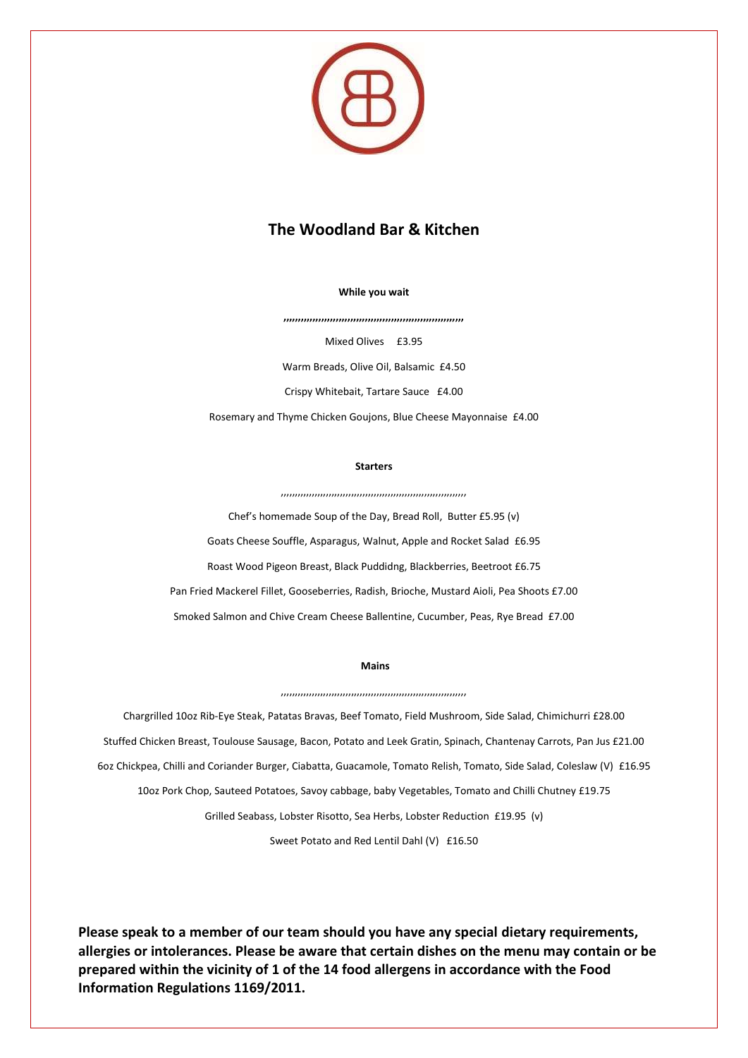

# **The Woodland Bar & Kitchen**

**While you wait**

**,,,,,,,,,,,,,,,,,,,,,,,,,,,,,,,,,,,,,,,,,,,,,,,,,,,,,,,,,,,,,,**

Mixed Olives £3.95 Warm Breads, Olive Oil, Balsamic £4.50 Crispy Whitebait, Tartare Sauce £4.00 Rosemary and Thyme Chicken Goujons, Blue Cheese Mayonnaise £4.00

#### **Starters**

,,,,,,,,,,,,,,,,,,,,,,,,,,,,,,,,,,,,,,,,,,,,,,,,,,,,,,,,,,,,,,,,,,

Chef's homemade Soup of the Day, Bread Roll, Butter £5.95 (v) Goats Cheese Souffle, Asparagus, Walnut, Apple and Rocket Salad £6.95 Roast Wood Pigeon Breast, Black Puddidng, Blackberries, Beetroot £6.75 Pan Fried Mackerel Fillet, Gooseberries, Radish, Brioche, Mustard Aioli, Pea Shoots £7.00 Smoked Salmon and Chive Cream Cheese Ballentine, Cucumber, Peas, Rye Bread £7.00

### **Mains**

,,,,,,,,,,,,,,,,,,,,,,,,,,,,,,,,,,,,,,,,,,,,,,,,,,,,,,,,,,,,,,,,,,

Chargrilled 10oz Rib-Eye Steak, Patatas Bravas, Beef Tomato, Field Mushroom, Side Salad, Chimichurri £28.00 Stuffed Chicken Breast, Toulouse Sausage, Bacon, Potato and Leek Gratin, Spinach, Chantenay Carrots, Pan Jus £21.00 6oz Chickpea, Chilli and Coriander Burger, Ciabatta, Guacamole, Tomato Relish, Tomato, Side Salad, Coleslaw (V) £16.95 10oz Pork Chop, Sauteed Potatoes, Savoy cabbage, baby Vegetables, Tomato and Chilli Chutney £19.75 Grilled Seabass, Lobster Risotto, Sea Herbs, Lobster Reduction £19.95 (v)

Sweet Potato and Red Lentil Dahl (V) £16.50

**Please speak to a member of our team should you have any special dietary requirements, allergies or intolerances. Please be aware that certain dishes on the menu may contain or be prepared within the vicinity of 1 of the 14 food allergens in accordance with the Food Information Regulations 1169/2011.**